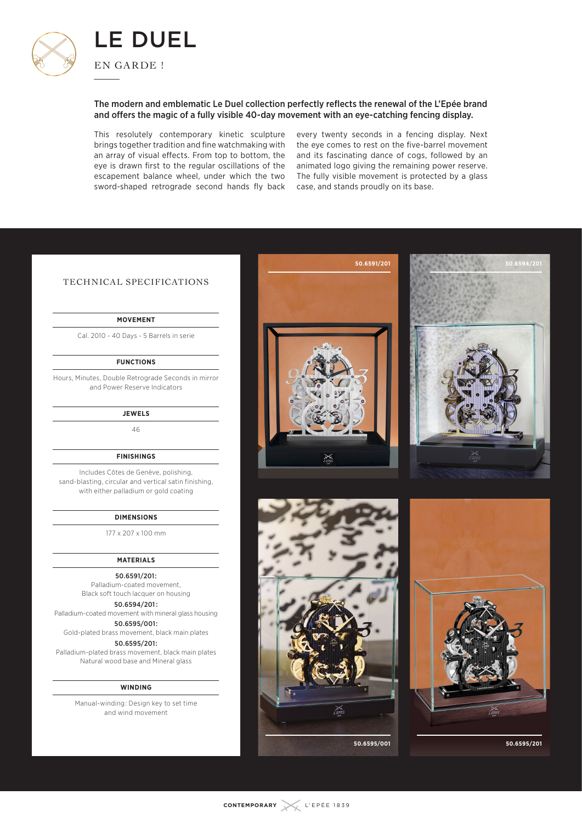

## The modern and emblematic Le Duel collection perfectly reflects the renewal of the L'Epée brand and offers the magic of a fully visible 40-day movement with an eye-catching fencing display.

This resolutely contemporary kinetic sculpture brings together tradition and fine watchmaking with an array of visual effects. From top to bottom, the eye is drawn first to the regular oscillations of the escapement balance wheel, under which the two sword-shaped retrograde second hands fly back

every twenty seconds in a fencing display. Next the eye comes to rest on the five-barrel movement and its fascinating dance of cogs, followed by an animated logo giving the remaining power reserve. The fully visible movement is protected by a glass case, and stands proudly on its base.

**50.6591/201**

# TECHNICAL SPECIFICATIONS

## **MOVEMENT**

Cal. 2010 - 40 Days - 5 Barrels in serie

### **FUNCTIONS**

Hours, Minutes, Double Retrograde Seconds in mirror and Power Reserve Indicators

#### **JEWELS**

46

## **FINISHINGS**

Includes Côtes de Genève, polishing, sand-blasting, circular and vertical satin finishing, with either palladium or gold coating

#### **DIMENSIONS**

177 x 207 x 100 mm

#### **MATERIALS**

50.6591/201 : Palladium-coated movement, Black soft touch lacquer on housing

## 50.6594/201  :

Palladium-coated movement with mineral glass housing 50.6595/001 : Gold-plated brass movement, black main plates

50.6595/201 :

Palladium-plated brass movement, black main plates Natural wood base and Mineral glass

#### **WINDING**

Manual-winding : Design key to set time and wind movement